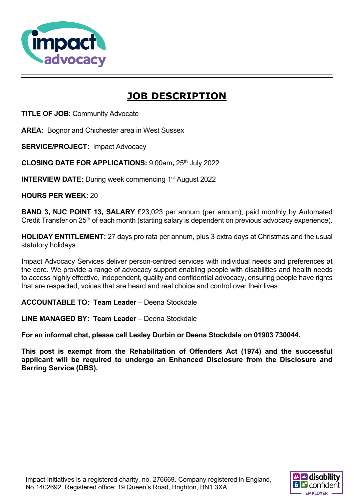

# **JOB DESCRIPTION**

**TITLE OF JOB**: Community Advocate

**AREA:** Bognor and Chichester area in West Sussex

**SERVICE/PROJECT:** Impact Advocacy

**CLOSING DATE FOR APPLICATIONS: 9.00am, 25th July 2022** 

**INTERVIEW DATE:** During week commencing 1<sup>st</sup> August 2022

**HOURS PER WEEK:** 20

**BAND 3, NJC POINT 13, SALARY** £23,023 per annum (per annum), paid monthly by Automated Credit Transfer on 25<sup>th</sup> of each month (starting salary is dependent on previous advocacy experience).

**HOLIDAY ENTITLEMENT:** 27 days pro rata per annum, plus 3 extra days at Christmas and the usual statutory holidays.

Impact Advocacy Services deliver person-centred services with individual needs and preferences at the core. We provide a range of advocacy support enabling people with disabilities and health needs to access highly effective, independent, quality and confidential advocacy, ensuring people have rights that are respected, voices that are heard and real choice and control over their lives.

**ACCOUNTABLE TO: Team Leader** – Deena Stockdale

**LINE MANAGED BY: Team Leader** – Deena Stockdale

**For an informal chat, please call Lesley Durbin or Deena Stockdale on 01903 730044.**

**This post is exempt from the Rehabilitation of Offenders Act (1974) and the successful applicant will be required to undergo an Enhanced Disclosure from the Disclosure and Barring Service (DBS).**

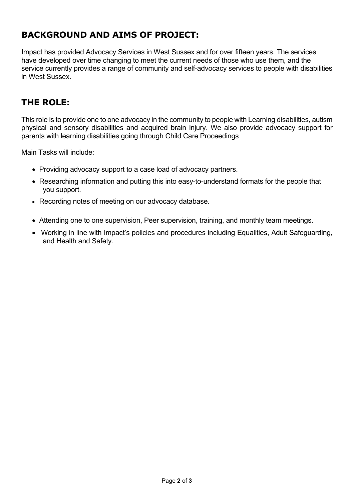## **BACKGROUND AND AIMS OF PROJECT:**

Impact has provided Advocacy Services in West Sussex and for over fifteen years. The services have developed over time changing to meet the current needs of those who use them, and the service currently provides a range of community and self-advocacy services to people with disabilities in West Sussex.

### **THE ROLE:**

This role is to provide one to one advocacy in the community to people with Learning disabilities, autism physical and sensory disabilities and acquired brain injury. We also provide advocacy support for parents with learning disabilities going through Child Care Proceedings

Main Tasks will include:

- Providing advocacy support to a case load of advocacy partners.
- Researching information and putting this into easy-to-understand formats for the people that you support.
- Recording notes of meeting on our advocacy database.
- Attending one to one supervision, Peer supervision, training, and monthly team meetings.
- Working in line with Impact's policies and procedures including Equalities, Adult Safeguarding, and Health and Safety.